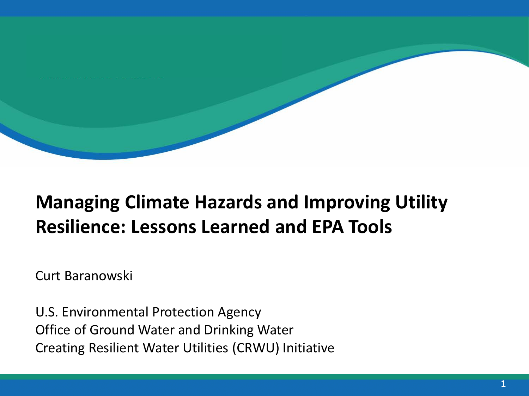### **Managing Climate Hazards and Improving Utility Resilience: Lessons Learned and EPA Tools**

Curt Baranowski

U.S. Environmental Protection Agency Office of Ground Water and Drinking Water Creating Resilient Water Utilities (CRWU) Initiative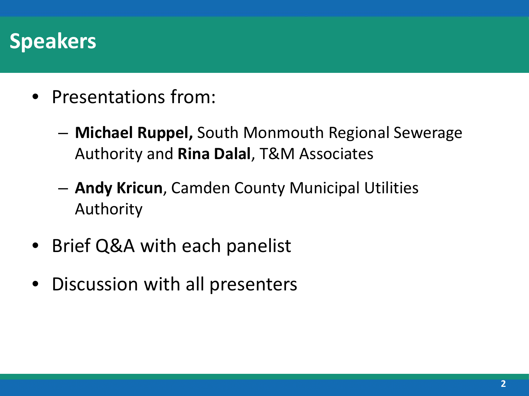### **Speakers**

- Presentations from:
	- **Michael Ruppel,** South Monmouth Regional Sewerage Authority and **Rina Dalal**, T&M Associates
	- **Andy Kricun**, Camden County Municipal Utilities Authority
- Brief Q&A with each panelist
- Discussion with all presenters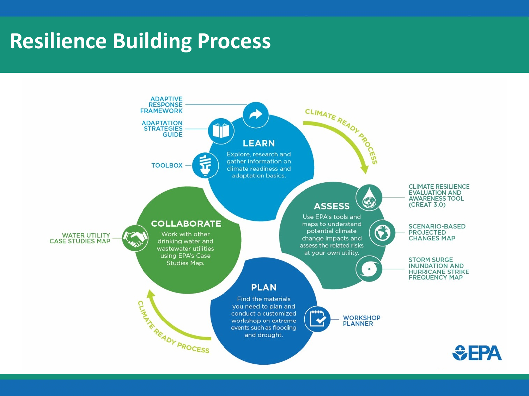## **Resilience Building Process**

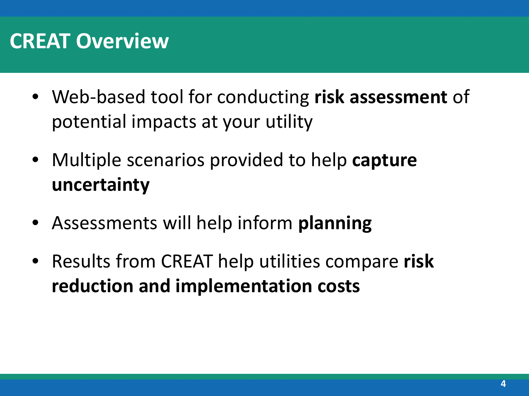### **CREAT Overview**

- Web-based tool for conducting **risk assessment** of potential impacts at your utility
- Multiple scenarios provided to help **capture uncertainty**
- Assessments will help inform **planning**
- Results from CREAT help utilities compare **risk reduction and implementation costs**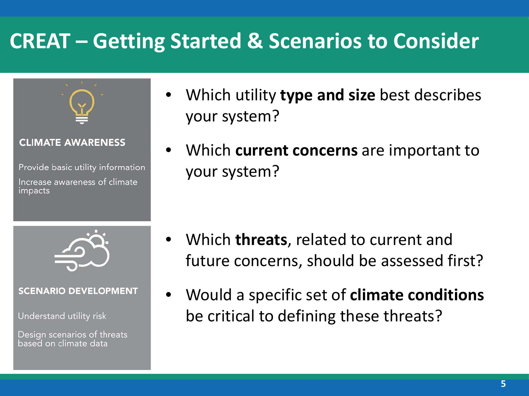## **CREAT – Getting Started & Scenarios to Consider**



#### **CLIMATE AWARENESS**

Provide basic utility information Increase awareness of climate impacts



#### **SCENARIO DEVELOPMENT**

Understand utility risk

Design scenarios of threats based on climate data

- Which utility **type and size** best describes your system?
- Which **current concerns** are important to your system?

- Which **threats**, related to current and future concerns, should be assessed first?
- Would a specific set of **climate conditions**  be critical to defining these threats?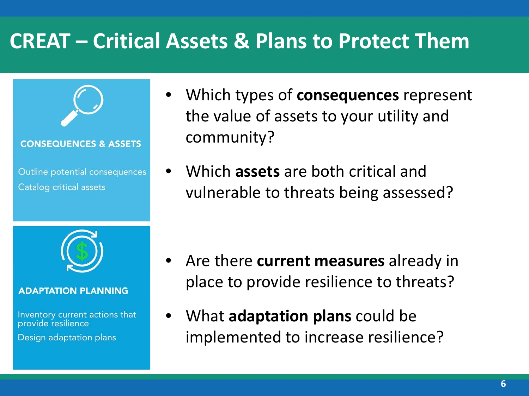## **CREAT – Critical Assets & Plans to Protect Them**



#### **ADAPTATION PLANNING**

Inventory current actions that provide resilience

Design adaptation plans

- Which types of **consequences** represent the value of assets to your utility and community?
- Which **assets** are both critical and vulnerable to threats being assessed?

- Are there **current measures** already in place to provide resilience to threats?
- What **adaptation plans** could be implemented to increase resilience?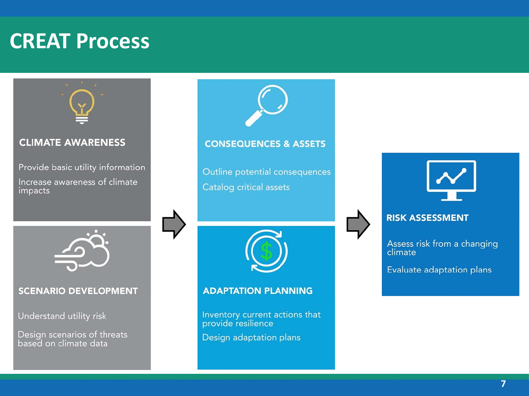### **CREAT Process**

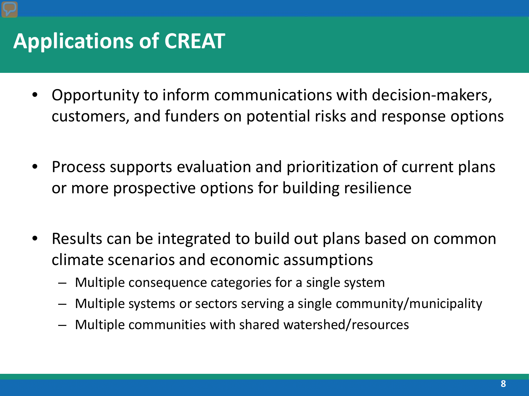## **Applications of CREAT**

- Opportunity to inform communications with decision-makers, customers, and funders on potential risks and response options
- Process supports evaluation and prioritization of current plans or more prospective options for building resilience
- Results can be integrated to build out plans based on common climate scenarios and economic assumptions
	- Multiple consequence categories for a single system
	- Multiple systems or sectors serving a single community/municipality
	- Multiple communities with shared watershed/resources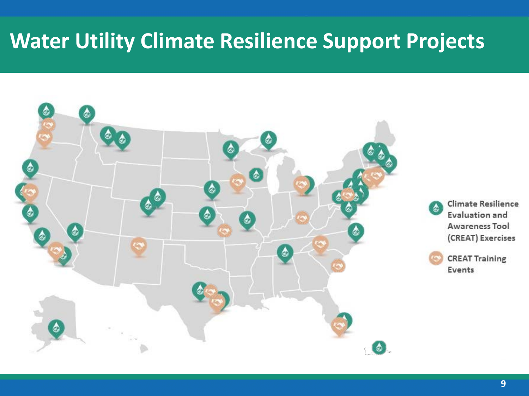### **Water Utility Climate Resilience Support Projects**

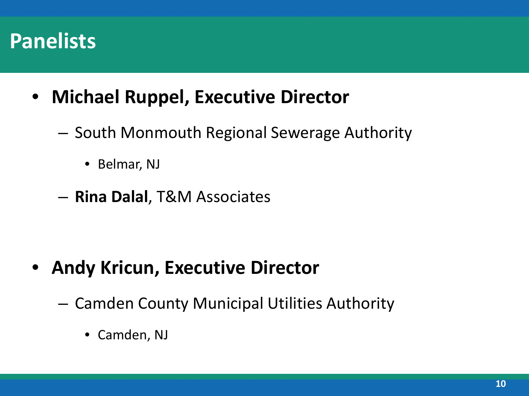### **Panelists**

- **Michael Ruppel, Executive Director**
	- South Monmouth Regional Sewerage Authority
		- Belmar, NJ
	- **Rina Dalal**, T&M Associates

- **Andy Kricun, Executive Director**
	- Camden County Municipal Utilities Authority
		- Camden, NJ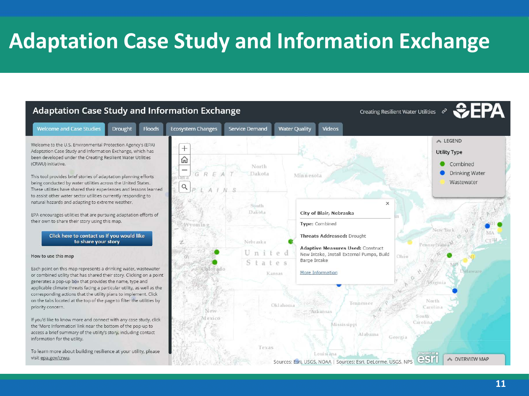## **Adaptation Case Study and Information Exchange**

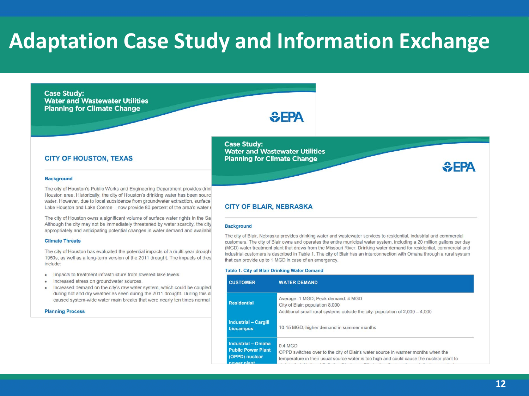### **Adaptation Case Study and Information Exchange**

#### **Case Study: Water and Wastewater Utilities Planning for Climate Change**

#### $E$ FPA

#### **CITY OF HOUSTON, TEXAS**

#### **Background**

The city of Houston's Public Works and Engineering Department provides drinl Houston area. Historically, the city of Houston's drinking water has been source water. However, due to local subsidence from groundwater extraction, surface Lake Houston and Lake Conroe - now provide 80 percent of the area's water s

The city of Houston owns a significant volume of surface water rights in the Sa Although the city may not be immediately threatened by water scarcity, the city appropriately and anticipating potential changes in water demand and availabil

#### **Climate Threats**

The city of Houston has evaluated the potential impacts of a multi-year drough 1950s, as well as a long-term version of the 2011 drought. The impacts of thes include:

- . Impacts to treatment infrastructure from lowered lake levels.
- Increased stress on groundwater sources.
- Increased demand on the city's raw water system, which could be coupled during hot and dry weather as seen during the 2011 drought. During this di caused system-wide water main breaks that were nearly ten times normal

**Planning Process** 

**Case Study: Water and Wastewater Utilities Planning for Climate Change** 

#### **CITY OF BLAIR, NEBRASKA**

#### **Background**

The city of Blair, Nebraska provides drinking water and wastewater services to residential, industrial and commercial customers. The city of Blair owns and operates the entire municipal water system, including a 20 million gallons per day (MGD) water treatment plant that draws from the Missouri River. Drinking water demand for residential, commercial and industrial customers is described in Table 1. The city of Blair has an interconnection with Omaha through a rural system that can provide up to 1 MGD in case of an emergency.

#### Table 1. City of Blair Drinking Water Demand

| <b>CUSTOMER</b>                                                                  | <b>WATER DEMAND</b>                                                                                                                                                                     |
|----------------------------------------------------------------------------------|-----------------------------------------------------------------------------------------------------------------------------------------------------------------------------------------|
| <b>Residential</b>                                                               | Average: 1 MGD: Peak demand: 4 MGD<br>City of Blair: population 8,000<br>Additional small rural systems outside the city: population of $2,000 - 4,000$                                 |
| <b>Industrial - Cargill</b><br><b>biocampus</b>                                  | 10-15 MGD: higher demand in summer months                                                                                                                                               |
| Industrial - Omaha<br><b>Public Power Plant</b><br>(OPPD) nuclear<br>nower plant | 0.4 MGD<br>OPPD switches over to the city of Blair's water source in warmer months when the<br>temperature in their usual source water is too high and could cause the nuclear plant to |

 $E$ FPA